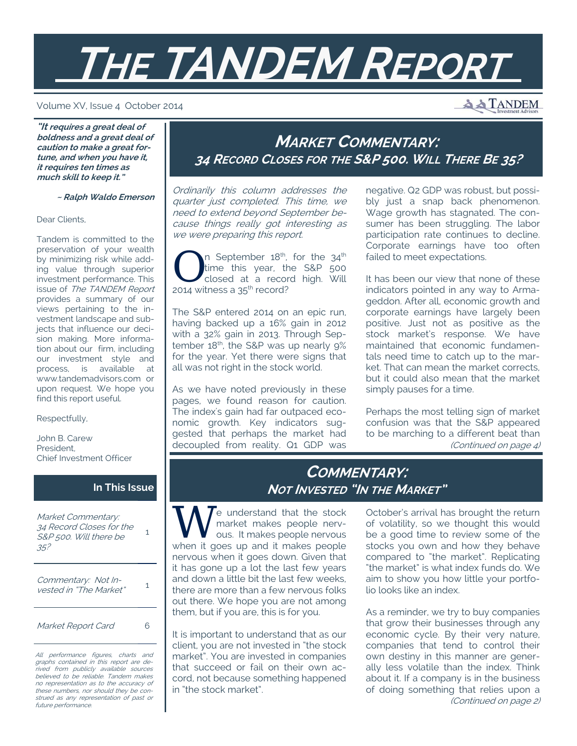# **THE TANDEM REPORT**

#### Volume XV, Issue 4 October 2014

**A TANDEM** 

**"It requires a great deal of boldness and a great deal of caution to make a great fortune, and when you have it, it requires ten times as much skill to keep it."** 

 **~ Ralph Waldo Emerson**

Dear Clients,

Tandem is committed to the preservation of your wealth by minimizing risk while adding value through superior investment performance. This issue of The TANDEM Report provides a summary of our views pertaining to the investment landscape and subjects that influence our decision making. More information about our firm, including our investment style and process, is available at www.tandemadvisors.com or upon request. We hope you find this report useful.

Respectfully,

John B. Carew President, Chief Investment Officer

#### **In This Issue**

Market Commentary: 34 Record Closes for the S&P 500. Will there be 35? 1

Commentary: Not Invested in "The Market" 1

Market Report Card 6

All performance figures, charts and graphs contained in this report are derived from publicly available sources believed to be reliable. Tandem makes no representation as to the accuracy of these numbers, nor should they be construed as any representation of past or future performance.

# **MARKET COMMENTARY: 34 RECORD CLOSES FOR THE S&P 500. WILL THERE BE 35?**

Ordinarily this column addresses the quarter just completed. This time, we need to extend beyond September because things really got interesting as we were preparing this report.

 $\bigcap$  n September 18<sup>th</sup>, for the 34<sup>th</sup><br>time this year, the S&P 500<br>closed at a record high. Will time this year, the S&P 500 closed at a record high. Will 2014 witness a 35<sup>th</sup> record?

The S&P entered 2014 on an epic run, having backed up a 16% gain in 2012 with a 32% gain in 2013. Through September 18<sup>th</sup>, the S&P was up nearly 9% for the year. Yet there were signs that all was not right in the stock world.

As we have noted previously in these pages, we found reason for caution. The index's gain had far outpaced economic growth. Key indicators suggested that perhaps the market had decoupled from reality. Q1 GDP was

negative. Q2 GDP was robust, but possibly just a snap back phenomenon. Wage growth has stagnated. The consumer has been struggling. The labor participation rate continues to decline. Corporate earnings have too often failed to meet expectations.

It has been our view that none of these indicators pointed in any way to Armageddon. After all, economic growth and corporate earnings have largely been positive. Just not as positive as the stock market's response. We have maintained that economic fundamentals need time to catch up to the market. That can mean the market corrects, but it could also mean that the market simply pauses for a time.

Perhaps the most telling sign of market confusion was that the S&P appeared to be marching to a different beat than (Continued on page 4)

## **COMMENTARY: NOT INVESTED "IN THE MARKET"**

W e understand that the stock<br>market makes people nerv-<br>when it gass up and it makes people market makes people nervous. It makes people nervous when it goes up and it makes people nervous when it goes down. Given that it has gone up a lot the last few years and down a little bit the last few weeks, there are more than a few nervous folks out there. We hope you are not among them, but if you are, this is for you.

It is important to understand that as our client, you are not invested in "the stock market". You are invested in companies that succeed or fail on their own accord, not because something happened in "the stock market".

October's arrival has brought the return of volatility, so we thought this would be a good time to review some of the stocks you own and how they behave compared to "the market". Replicating "the market" is what index funds do. We aim to show you how little your portfolio looks like an index.

As a reminder, we try to buy companies that grow their businesses through any economic cycle. By their very nature, companies that tend to control their own destiny in this manner are generally less volatile than the index. Think about it. If a company is in the business of doing something that relies upon a (Continued on page 2)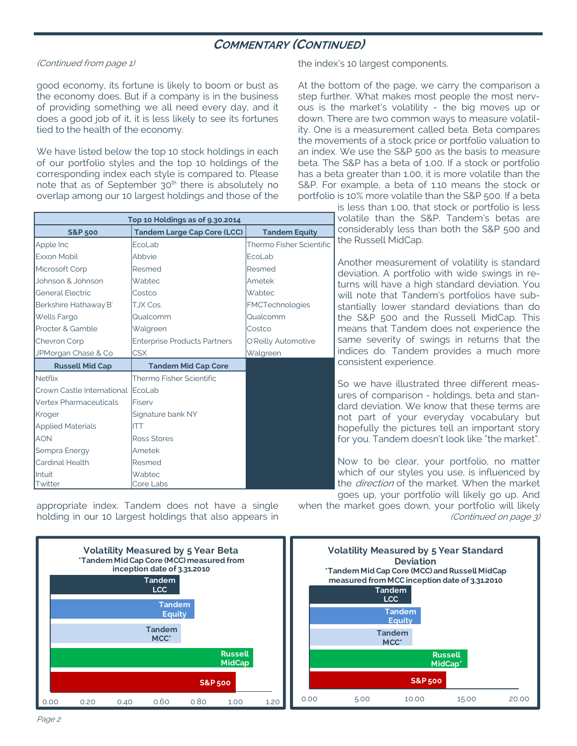## **COMMENTARY (CONTINUED)**

#### (Continued from page 1)

good economy, its fortune is likely to boom or bust as the economy does. But if a company is in the business of providing something we all need every day, and it does a good job of it, it is less likely to see its fortunes tied to the health of the economy.

We have listed below the top 10 stock holdings in each of our portfolio styles and the top 10 holdings of the corresponding index each style is compared to. Please note that as of September  $30<sup>th</sup>$  there is absolutely no overlap among our 10 largest holdings and those of the

| Top 10 Holdings as of 9.30.2014 |                                     |                          |  |  |  |  |  |  |
|---------------------------------|-------------------------------------|--------------------------|--|--|--|--|--|--|
| <b>S&amp;P 500</b>              | <b>Tandem Large Cap Core (LCC)</b>  | <b>Tandem Equity</b>     |  |  |  |  |  |  |
| Apple Inc                       | EcoLab                              | Thermo Fisher Scientific |  |  |  |  |  |  |
| <b>Exxon Mobil</b>              | Abbvie                              | EcoLab                   |  |  |  |  |  |  |
| Microsoft Corp                  | Resmed                              | Resmed                   |  |  |  |  |  |  |
| Johnson & Johnson               | Wabtec                              | Ametek                   |  |  |  |  |  |  |
| <b>General Electric</b>         | Costco                              | Wabtec                   |  |  |  |  |  |  |
| Berkshire Hathaway B'           | TJX Cos.                            | FMCTechnologies          |  |  |  |  |  |  |
| <b>Wells Fargo</b>              | Qualcomm                            | Qualcomm                 |  |  |  |  |  |  |
| Procter & Gamble                | Walgreen                            | Costco                   |  |  |  |  |  |  |
| Chevron Corp                    | <b>Enterprise Products Partners</b> | O'Reilly Automotive      |  |  |  |  |  |  |
| JPMorgan Chase & Co             | <b>CSX</b>                          | Walgreen                 |  |  |  |  |  |  |
| <b>Russell Mid Cap</b>          | <b>Tandem Mid Cap Core</b>          |                          |  |  |  |  |  |  |
| <b>Netflix</b>                  | Thermo Fisher Scientific            |                          |  |  |  |  |  |  |
| Crown Castle International      | EcoLab                              |                          |  |  |  |  |  |  |
| Vertex Pharmaceuticals          | Fiserv                              |                          |  |  |  |  |  |  |
| Kroger                          | Signature bank NY                   |                          |  |  |  |  |  |  |
| <b>Applied Materials</b>        | <b>ITT</b>                          |                          |  |  |  |  |  |  |
| <b>AON</b>                      | <b>Ross Stores</b>                  |                          |  |  |  |  |  |  |
| Sempra Energy                   | Ametek                              |                          |  |  |  |  |  |  |
| <b>Cardinal Health</b>          | Resmed                              |                          |  |  |  |  |  |  |
| Intuit<br>Twitter               | Wabtec<br>Core Labs                 |                          |  |  |  |  |  |  |

appropriate index. Tandem does not have a single holding in our 10 largest holdings that also appears in the index's 10 largest components.

At the bottom of the page, we carry the comparison a step further. What makes most people the most nervous is the market's volatility - the big moves up or down. There are two common ways to measure volatility. One is a measurement called beta. Beta compares the movements of a stock price or portfolio valuation to an index. We use the S&P 500 as the basis to measure beta. The S&P has a beta of 1.00. If a stock or portfolio has a beta greater than 1.00, it is more volatile than the S&P. For example, a beta of 1.10 means the stock or portfolio is 10% more volatile than the S&P 500. If a beta

> is less than 1.00, that stock or portfolio is less volatile than the S&P. Tandem's betas are considerably less than both the S&P 500 and the Russell MidCap.

> Another measurement of volatility is standard deviation. A portfolio with wide swings in returns will have a high standard deviation. You will note that Tandem's portfolios have substantially lower standard deviations than do the S&P 500 and the Russell MidCap. This means that Tandem does not experience the same severity of swings in returns that the indices do. Tandem provides a much more consistent experience.

> So we have illustrated three different measures of comparison - holdings, beta and standard deviation. We know that these terms are not part of your everyday vocabulary but hopefully the pictures tell an important story for you. Tandem doesn't look like "the market".

> Now to be clear, your portfolio, no matter which of our styles you use, is influenced by the *direction* of the market. When the market goes up, your portfolio will likely go up. And

when the market goes down, your portfolio will likely (Continued on page 3)

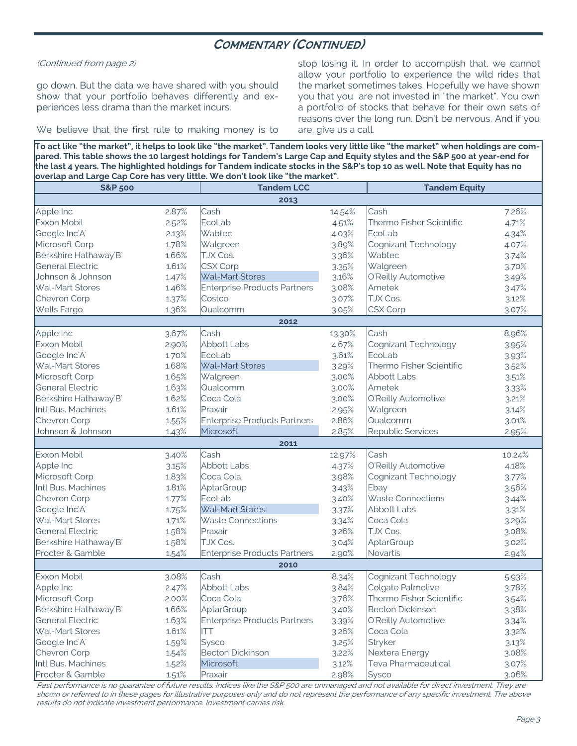## **COMMENTARY (CONTINUED)**

(Continued from page 2)

go down. But the data we have shared with you should show that your portfolio behaves differently and experiences less drama than the market incurs.

We believe that the first rule to making money is to

stop losing it. In order to accomplish that, we cannot allow your portfolio to experience the wild rides that the market sometimes takes. Hopefully we have shown you that you are not invested in "the market". You own a portfolio of stocks that behave for their own sets of reasons over the long run. Don't be nervous. And if you are, give us a call.

**To act like "the market", it helps to look like "the market". Tandem looks very little like "the market" when holdings are compared. This table shows the 10 largest holdings for Tandem's Large Cap and Equity styles and the S&P 500 at year-end for the last 4 years. The highlighted holdings for Tandem indicate stocks in the S&P's top 10 as well. Note that Equity has no overlap and Large Cap Core has very little. We don't look like "the market".** 

| <b>S&amp;P 500</b>        |       | <b>Tandem LCC</b>                   |        | <b>Tandem Equity</b>     |        |  |  |  |  |
|---------------------------|-------|-------------------------------------|--------|--------------------------|--------|--|--|--|--|
| 2013                      |       |                                     |        |                          |        |  |  |  |  |
| Apple Inc                 | 2.87% | Cash                                | 14.54% | Cash                     | 7.26%  |  |  |  |  |
| Exxon Mobil               | 2.52% | EcoLab                              | 4.51%  | Thermo Fisher Scientific | 4.71%  |  |  |  |  |
| Google Inc'A'             | 2.13% | Wabtec                              | 4.03%  | EcoLab                   | 4.34%  |  |  |  |  |
| Microsoft Corp            | 1.78% | Walgreen                            | 3.89%  | Cognizant Technology     | 4.07%  |  |  |  |  |
| Berkshire Hathaway'B'     | 1.66% | TJX Cos.                            | 3.36%  | Wabtec                   | 3.74%  |  |  |  |  |
| <b>General Electric</b>   | 1.61% | <b>CSX Corp</b>                     | 3.35%  | Walgreen                 | 3.70%  |  |  |  |  |
| Johnson & Johnson         | 1.47% | Wal-Mart Stores                     | 3.16%  | O'Reilly Automotive      | 3.49%  |  |  |  |  |
| Wal-Mart Stores           | 1.46% | <b>Enterprise Products Partners</b> | 3.08%  | Ametek                   | 3.47%  |  |  |  |  |
| Chevron Corp              | 1.37% | Costco                              | 3.07%  | TJX Cos.                 | 3.12%  |  |  |  |  |
| <b>Wells Fargo</b>        | 1.36% | Qualcomm<br>3.05%                   |        | CSX Corp                 | 3.07%  |  |  |  |  |
|                           |       | 2012                                |        |                          |        |  |  |  |  |
| Apple Inc                 | 3.67% | Cash                                | 13.30% | Cash                     | 8.96%  |  |  |  |  |
| Exxon Mobil               | 2.90% | <b>Abbott Labs</b>                  | 4.67%  | Cognizant Technology     | 3.95%  |  |  |  |  |
| Google Inc'A'             | 1.70% | EcoLab                              | 3.61%  | EcoLab                   | 3.93%  |  |  |  |  |
| Wal-Mart Stores           | 1.68% | Wal-Mart Stores                     | 3.29%  | Thermo Fisher Scientific | 3.52%  |  |  |  |  |
| Microsoft Corp            | 1.65% | Walgreen                            | 3.00%  | Abbott Labs              | 3.51%  |  |  |  |  |
| <b>General Electric</b>   | 1.63% | Qualcomm                            | 3.00%  | Ametek                   | 3.33%  |  |  |  |  |
| Berkshire Hathaway'B'     | 1.62% | Coca Cola                           | 3.00%  | O'Reilly Automotive      | 3.21%  |  |  |  |  |
| Intl Bus. Machines        | 1.61% | Praxair                             | 2.95%  | Walgreen                 | 3.14%  |  |  |  |  |
| Chevron Corp              | 1.55% | <b>Enterprise Products Partners</b> | 2.86%  | Qualcomm                 | 3.01%  |  |  |  |  |
| Johnson & Johnson         | 1.43% | Microsoft                           | 2.85%  | Republic Services        | 2.95%  |  |  |  |  |
|                           |       | 2011                                |        |                          |        |  |  |  |  |
| <b>Exxon Mobil</b>        | 3.40% | Cash                                | 12.97% | Cash                     | 10.24% |  |  |  |  |
| Apple Inc                 | 3.15% | <b>Abbott Labs</b>                  | 4.37%  | O'Reilly Automotive      | 4.18%  |  |  |  |  |
| Microsoft Corp            | 1.83% | Coca Cola                           | 3.98%  | Cognizant Technology     | 3.77%  |  |  |  |  |
| Intl Bus. Machines        | 1.81% | AptarGroup                          | 3.43%  | Ebay                     | 3.56%  |  |  |  |  |
| Chevron Corp              | 1.77% | EcoLab                              | 3.40%  | <b>Waste Connections</b> | 3.44%  |  |  |  |  |
| Google Inc'A'             | 1.75% | <b>Wal-Mart Stores</b>              | 3.37%  | <b>Abbott Labs</b>       | 3.31%  |  |  |  |  |
| Wal-Mart Stores           | 1.71% | <b>Waste Connections</b>            | 3.34%  | Coca Cola                | 3.29%  |  |  |  |  |
| <b>General Electric</b>   | 1.58% | Praxair                             | 3.26%  | TJX Cos.                 | 3.08%  |  |  |  |  |
| Berkshire Hathaway'B'     | 1.58% | TJX Cos.                            | 3.04%  | AptarGroup               | 3.02%  |  |  |  |  |
| Procter & Gamble          | 1.54% | <b>Enterprise Products Partners</b> | 2.90%  | Novartis                 | 2.94%  |  |  |  |  |
|                           |       | 2010                                |        |                          |        |  |  |  |  |
| Exxon Mobil               | 3.08% | Cash                                | 8.34%  | Cognizant Technology     | 5.93%  |  |  |  |  |
| Apple Inc                 | 2.47% | <b>Abbott Labs</b>                  | 3.84%  | Colgate Palmolive        | 3.78%  |  |  |  |  |
| Microsoft Corp            | 2.00% | Coca Cola                           | 3.76%  | Thermo Fisher Scientific | 3.54%  |  |  |  |  |
| Berkshire Hathaway B      | 1.66% | AptarGroup                          | 3.40%  | <b>Becton Dickinson</b>  | 3.38%  |  |  |  |  |
| General Electric          | 1.63% | <b>Enterprise Products Partners</b> | 3.39%  | O'Reilly Automotive      | 3.34%  |  |  |  |  |
| Wal-Mart Stores           | 1.61% | ITT                                 | 3.26%  | Coca Cola                | 3.32%  |  |  |  |  |
| Google Inc <sup>'A'</sup> | 1.59% | Sysco                               | 3.25%  | Stryker                  | 3.13%  |  |  |  |  |
| Chevron Corp              | 1.54% | <b>Becton Dickinson</b>             | 3.22%  | Nextera Energy           | 3.08%  |  |  |  |  |
| Intl Bus. Machines        | 1.52% | Microsoft                           | 3.12%  | Teva Pharmaceutical      | 3.07%  |  |  |  |  |
| Procter & Gamble          | 1.51% | Praxair                             | 2.98%  | <b>Sysco</b>             | 3.06%  |  |  |  |  |

Past performance is no guarantee of future results. Indices like the S&P 500 are unmanaged and not available for direct investment. They are shown or referred to in these pages for illustrative purposes only and do not represent the performance of any specific investment. The above results do not indicate investment performance. Investment carries risk.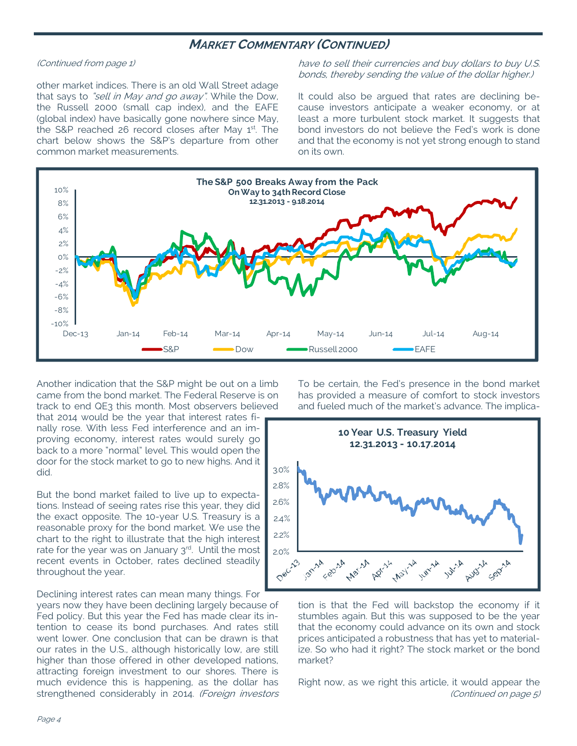### **MARKET COMMENTARY (CONTINUED)**

#### (Continued from page 1)

other market indices. There is an old Wall Street adage that says to "sell in May and go away". While the Dow, the Russell 2000 (small cap index), and the EAFE (global index) have basically gone nowhere since May, the S&P reached 26 record closes after May 1st. The chart below shows the S&P's departure from other common market measurements.

have to sell their currencies and buy dollars to buy U.S. bonds, thereby sending the value of the dollar higher.)

It could also be argued that rates are declining because investors anticipate a weaker economy, or at least a more turbulent stock market. It suggests that bond investors do not believe the Fed's work is done and that the economy is not yet strong enough to stand on its own.



Another indication that the S&P might be out on a limb came from the bond market. The Federal Reserve is on track to end QE3 this month. Most observers believed

that 2014 would be the year that interest rates finally rose. With less Fed interference and an improving economy, interest rates would surely go back to a more "normal" level. This would open the door for the stock market to go to new highs. And it did.

But the bond market failed to live up to expectations. Instead of seeing rates rise this year, they did the exact opposite. The 10-year U.S. Treasury is a reasonable proxy for the bond market. We use the chart to the right to illustrate that the high interest rate for the year was on January  $3<sup>rd</sup>$ . Until the most recent events in October, rates declined steadily throughout the year.

Declining interest rates can mean many things. For years now they have been declining largely because of Fed policy. But this year the Fed has made clear its intention to cease its bond purchases. And rates still went lower. One conclusion that can be drawn is that our rates in the U.S., although historically low, are still higher than those offered in other developed nations, attracting foreign investment to our shores. There is much evidence this is happening, as the dollar has strengthened considerably in 2014. (Foreign investors To be certain, the Fed's presence in the bond market has provided a measure of comfort to stock investors and fueled much of the market's advance. The implica-



tion is that the Fed will backstop the economy if it stumbles again. But this was supposed to be the year that the economy could advance on its own and stock prices anticipated a robustness that has yet to materialize. So who had it right? The stock market or the bond market?

Right now, as we right this article, it would appear the (Continued on page 5)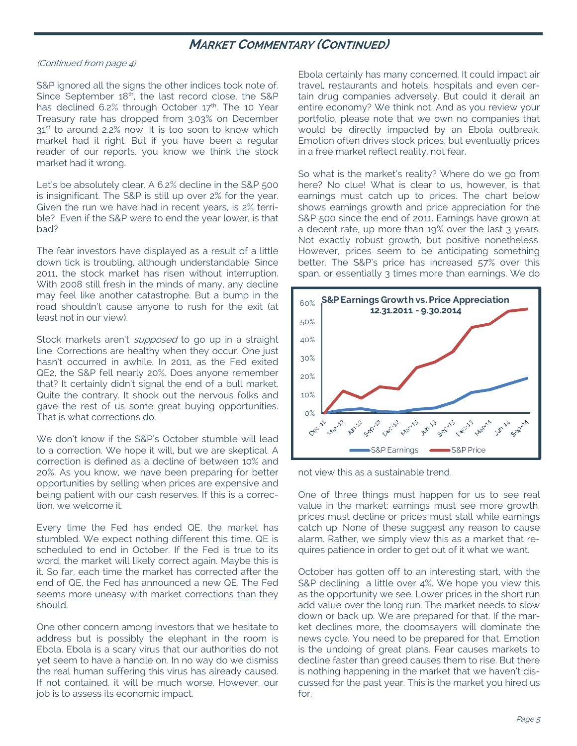## **MARKET COMMENTARY (CONTINUED)**

#### (Continued from page 4)

S&P ignored all the signs the other indices took note of. Since September  $18<sup>th</sup>$ , the last record close, the S&P has declined 6.2% through October  $17<sup>th</sup>$ . The 10 Year Treasury rate has dropped from 3.03% on December 31<sup>st</sup> to around 2.2% now. It is too soon to know which market had it right. But if you have been a regular reader of our reports, you know we think the stock market had it wrong.

Let's be absolutely clear. A 6.2% decline in the S&P 500 is insignificant. The S&P is still up over 2% for the year. Given the run we have had in recent years, is 2% terrible? Even if the S&P were to end the year lower, is that bad?

The fear investors have displayed as a result of a little down tick is troubling, although understandable. Since 2011, the stock market has risen without interruption. With 2008 still fresh in the minds of many, any decline may feel like another catastrophe. But a bump in the road shouldn't cause anyone to rush for the exit (at least not in our view).

Stock markets aren't *supposed* to go up in a straight line. Corrections are healthy when they occur. One just hasn't occurred in awhile. In 2011, as the Fed exited QE2, the S&P fell nearly 20%. Does anyone remember that? It certainly didn't signal the end of a bull market. Quite the contrary. It shook out the nervous folks and gave the rest of us some great buying opportunities. That is what corrections do.

We don't know if the S&P's October stumble will lead to a correction. We hope it will, but we are skeptical. A correction is defined as a decline of between 10% and 20%. As you know, we have been preparing for better opportunities by selling when prices are expensive and being patient with our cash reserves. If this is a correction, we welcome it.

Every time the Fed has ended QE, the market has stumbled. We expect nothing different this time. QE is scheduled to end in October. If the Fed is true to its word, the market will likely correct again. Maybe this is it. So far, each time the market has corrected after the end of QE, the Fed has announced a new QE. The Fed seems more uneasy with market corrections than they should.

One other concern among investors that we hesitate to address but is possibly the elephant in the room is Ebola. Ebola is a scary virus that our authorities do not yet seem to have a handle on. In no way do we dismiss the real human suffering this virus has already caused. If not contained, it will be much worse. However, our job is to assess its economic impact.

Ebola certainly has many concerned. It could impact air travel, restaurants and hotels, hospitals and even certain drug companies adversely. But could it derail an entire economy? We think not. And as you review your portfolio, please note that we own no companies that would be directly impacted by an Ebola outbreak. Emotion often drives stock prices, but eventually prices in a free market reflect reality, not fear.

So what is the market's reality? Where do we go from here? No clue! What is clear to us, however, is that earnings must catch up to prices. The chart below shows earnings growth and price appreciation for the S&P 500 since the end of 2011. Earnings have grown at a decent rate, up more than 19% over the last 3 years. Not exactly robust growth, but positive nonetheless. However, prices seem to be anticipating something better. The S&P's price has increased 57% over this span, or essentially 3 times more than earnings. We do



not view this as a sustainable trend.

One of three things must happen for us to see real value in the market: earnings must see more growth, prices must decline or prices must stall while earnings catch up. None of these suggest any reason to cause alarm. Rather, we simply view this as a market that requires patience in order to get out of it what we want.

October has gotten off to an interesting start, with the S&P declining a little over 4%. We hope you view this as the opportunity we see. Lower prices in the short run add value over the long run. The market needs to slow down or back up. We are prepared for that. If the market declines more, the doomsayers will dominate the news cycle. You need to be prepared for that. Emotion is the undoing of great plans. Fear causes markets to decline faster than greed causes them to rise. But there is nothing happening in the market that we haven't discussed for the past year. This is the market you hired us for.